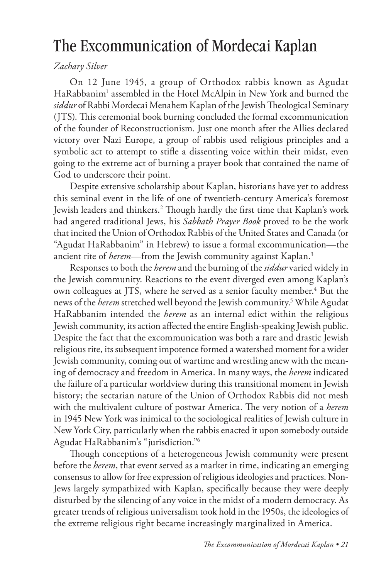# The Excommunication of Mordecai Kaplan

#### *Zachary Silver*

On 12 June 1945, a group of Orthodox rabbis known as Agudat HaRabbanim<sup>1</sup> assembled in the Hotel McAlpin in New York and burned the *siddur* of Rabbi Mordecai Menahem Kaplan of the Jewish Theological Seminary (JTS). This ceremonial book burning concluded the formal excommunication of the founder of Reconstructionism. Just one month after the Allies declared victory over Nazi Europe, a group of rabbis used religious principles and a symbolic act to attempt to stifle a dissenting voice within their midst, even going to the extreme act of burning a prayer book that contained the name of God to underscore their point.

Despite extensive scholarship about Kaplan, historians have yet to address this seminal event in the life of one of twentieth-century America's foremost Jewish leaders and thinkers.2 Though hardly the first time that Kaplan's work had angered traditional Jews, his *Sabbath Prayer Book* proved to be the work that incited the Union of Orthodox Rabbis of the United States and Canada (or "Agudat HaRabbanim" in Hebrew) to issue a formal excommunication—the ancient rite of *herem*—from the Jewish community against Kaplan.<sup>3</sup>

Responses to both the *herem* and the burning of the *siddur* varied widely in the Jewish community. Reactions to the event diverged even among Kaplan's own colleagues at JTS, where he served as a senior faculty member.<sup>4</sup> But the news of the *herem* stretched well beyond the Jewish community.5 While Agudat HaRabbanim intended the *herem* as an internal edict within the religious Jewish community, its action affected the entire English-speaking Jewish public. Despite the fact that the excommunication was both a rare and drastic Jewish religious rite, its subsequent impotence formed a watershed moment for a wider Jewish community, coming out of wartime and wrestling anew with the meaning of democracy and freedom in America. In many ways, the *herem* indicated the failure of a particular worldview during this transitional moment in Jewish history; the sectarian nature of the Union of Orthodox Rabbis did not mesh with the multivalent culture of postwar America. The very notion of a *herem* in 1945 New York was inimical to the sociological realities of Jewish culture in New York City, particularly when the rabbis enacted it upon somebody outside Agudat HaRabbanim's "jurisdiction."6

Though conceptions of a heterogeneous Jewish community were present before the *herem*, that event served as a marker in time, indicating an emerging consensus to allow for free expression of religious ideologies and practices. Non-Jews largely sympathized with Kaplan, specifically because they were deeply disturbed by the silencing of any voice in the midst of a modern democracy. As greater trends of religious universalism took hold in the 1950s, the ideologies of the extreme religious right became increasingly marginalized in America.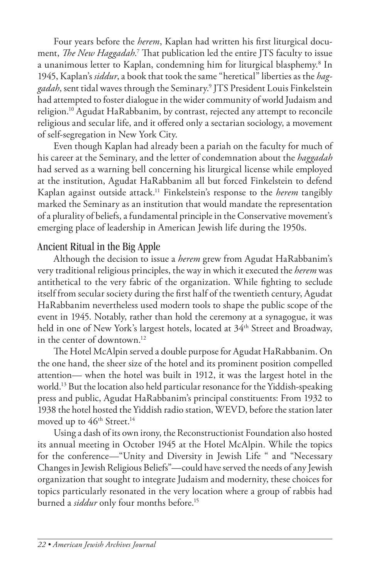Four years before the *herem*, Kaplan had written his first liturgical document, *The New Haggadah.*<sup>7</sup> That publication led the entire JTS faculty to issue a unanimous letter to Kaplan, condemning him for liturgical blasphemy.<sup>8</sup> In 1945, Kaplan's *siddur*, a book that took the same "heretical" liberties as the *haggadah*, sent tidal waves through the Seminary.9 JTS President Louis Finkelstein had attempted to foster dialogue in the wider community of world Judaism and religion.10 Agudat HaRabbanim, by contrast, rejected any attempt to reconcile religious and secular life, and it offered only a sectarian sociology, a movement of self-segregation in New York City.

Even though Kaplan had already been a pariah on the faculty for much of his career at the Seminary, and the letter of condemnation about the *haggadah* had served as a warning bell concerning his liturgical license while employed at the institution, Agudat HaRabbanim all but forced Finkelstein to defend Kaplan against outside attack.11 Finkelstein's response to the *herem* tangibly marked the Seminary as an institution that would mandate the representation of a plurality of beliefs, a fundamental principle in the Conservative movement's emerging place of leadership in American Jewish life during the 1950s.

## Ancient Ritual in the Big Apple

Although the decision to issue a *herem* grew from Agudat HaRabbanim's very traditional religious principles, the way in which it executed the *herem* was antithetical to the very fabric of the organization. While fighting to seclude itself from secular society during the first half of the twentieth century, Agudat HaRabbanim nevertheless used modern tools to shape the public scope of the event in 1945. Notably, rather than hold the ceremony at a synagogue, it was held in one of New York's largest hotels, located at 34<sup>th</sup> Street and Broadway, in the center of downtown.<sup>12</sup>

The Hotel McAlpin served a double purpose for Agudat HaRabbanim. On the one hand, the sheer size of the hotel and its prominent position compelled attention— when the hotel was built in 1912, it was the largest hotel in the world.13 But the location also held particular resonance for the Yiddish-speaking press and public, Agudat HaRabbanim's principal constituents: From 1932 to 1938 the hotel hosted the Yiddish radio station, WEVD, before the station later moved up to 46<sup>th</sup> Street.<sup>14</sup>

Using a dash of its own irony, the Reconstructionist Foundation also hosted its annual meeting in October 1945 at the Hotel McAlpin. While the topics for the conference—"Unity and Diversity in Jewish Life " and "Necessary Changes in Jewish Religious Beliefs"—could have served the needs of any Jewish organization that sought to integrate Judaism and modernity, these choices for topics particularly resonated in the very location where a group of rabbis had burned a *siddur* only four months before.<sup>15</sup>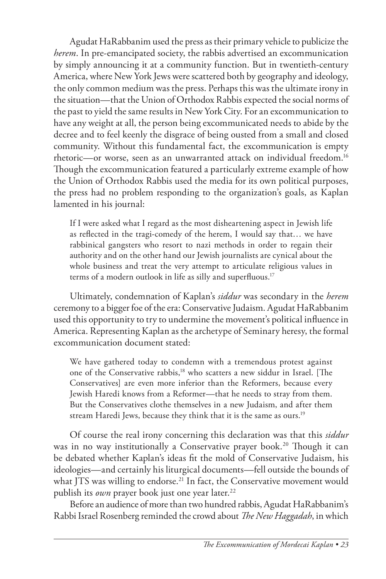Agudat HaRabbanim used the press as their primary vehicle to publicize the *herem*. In pre-emancipated society, the rabbis advertised an excommunication by simply announcing it at a community function. But in twentieth-century America, where New York Jews were scattered both by geography and ideology, the only common medium was the press. Perhaps this was the ultimate irony in the situation—that the Union of Orthodox Rabbis expected the social norms of the past to yield the same results in New York City. For an excommunication to have any weight at all, the person being excommunicated needs to abide by the decree and to feel keenly the disgrace of being ousted from a small and closed community. Without this fundamental fact, the excommunication is empty rhetoric—or worse, seen as an unwarranted attack on individual freedom.16 Though the excommunication featured a particularly extreme example of how the Union of Orthodox Rabbis used the media for its own political purposes, the press had no problem responding to the organization's goals, as Kaplan lamented in his journal:

If I were asked what I regard as the most disheartening aspect in Jewish life as reflected in the tragi-comedy of the herem, I would say that… we have rabbinical gangsters who resort to nazi methods in order to regain their authority and on the other hand our Jewish journalists are cynical about the whole business and treat the very attempt to articulate religious values in terms of a modern outlook in life as silly and superfluous.<sup>17</sup>

Ultimately, condemnation of Kaplan's *siddur* was secondary in the *herem*  ceremony to a bigger foe of the era: Conservative Judaism. Agudat HaRabbanim used this opportunity to try to undermine the movement's political influence in America. Representing Kaplan as the archetype of Seminary heresy, the formal excommunication document stated:

We have gathered today to condemn with a tremendous protest against one of the Conservative rabbis,<sup>18</sup> who scatters a new siddur in Israel. [The Conservatives] are even more inferior than the Reformers, because every Jewish Haredi knows from a Reformer—that he needs to stray from them. But the Conservatives clothe themselves in a new Judaism, and after them stream Haredi Jews, because they think that it is the same as ours.<sup>19</sup>

Of course the real irony concerning this declaration was that this *siddur* was in no way institutionally a Conservative prayer book.<sup>20</sup> Though it can be debated whether Kaplan's ideas fit the mold of Conservative Judaism, his ideologies—and certainly his liturgical documents—fell outside the bounds of what JTS was willing to endorse.<sup>21</sup> In fact, the Conservative movement would publish its *own* prayer book just one year later.<sup>22</sup>

Before an audience of more than two hundred rabbis, Agudat HaRabbanim's Rabbi Israel Rosenberg reminded the crowd about *The New Haggadah*, in which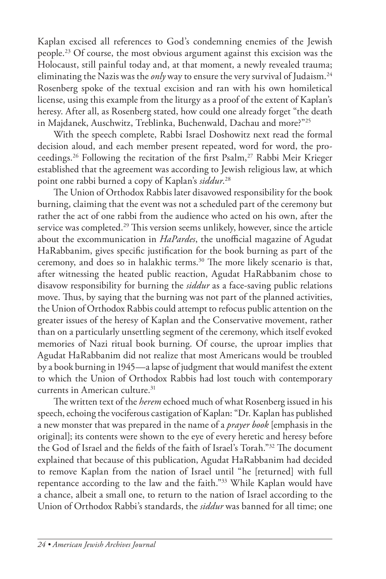Kaplan excised all references to God's condemning enemies of the Jewish people.23 Of course, the most obvious argument against this excision was the Holocaust, still painful today and, at that moment, a newly revealed trauma; eliminating the Nazis was the *only* way to ensure the very survival of Judaism.<sup>24</sup> Rosenberg spoke of the textual excision and ran with his own homiletical license, using this example from the liturgy as a proof of the extent of Kaplan's heresy. After all, as Rosenberg stated, how could one already forget "the death in Majdanek, Auschwitz, Treblinka, Buchenwald, Dachau and more?"25

With the speech complete, Rabbi Israel Doshowitz next read the formal decision aloud, and each member present repeated, word for word, the proceedings.<sup>26</sup> Following the recitation of the first Psalm,<sup>27</sup> Rabbi Meir Krieger established that the agreement was according to Jewish religious law, at which point one rabbi burned a copy of Kaplan's *siddur*. 28

The Union of Orthodox Rabbis later disavowed responsibility for the book burning, claiming that the event was not a scheduled part of the ceremony but rather the act of one rabbi from the audience who acted on his own, after the service was completed.<sup>29</sup> This version seems unlikely, however, since the article about the excommunication in *HaPardes*, the unofficial magazine of Agudat HaRabbanim, gives specific justification for the book burning as part of the ceremony, and does so in halakhic terms.30 The more likely scenario is that, after witnessing the heated public reaction, Agudat HaRabbanim chose to disavow responsibility for burning the *siddur* as a face-saving public relations move. Thus, by saying that the burning was not part of the planned activities, the Union of Orthodox Rabbis could attempt to refocus public attention on the greater issues of the heresy of Kaplan and the Conservative movement, rather than on a particularly unsettling segment of the ceremony, which itself evoked memories of Nazi ritual book burning. Of course, the uproar implies that Agudat HaRabbanim did not realize that most Americans would be troubled by a book burning in 1945—a lapse of judgment that would manifest the extent to which the Union of Orthodox Rabbis had lost touch with contemporary currents in American culture.<sup>31</sup>

The written text of the *herem* echoed much of what Rosenberg issued in his speech, echoing the vociferous castigation of Kaplan: "Dr. Kaplan has published a new monster that was prepared in the name of a *prayer book* [emphasis in the original]; its contents were shown to the eye of every heretic and heresy before the God of Israel and the fields of the faith of Israel's Torah."32 The document explained that because of this publication, Agudat HaRabbanim had decided to remove Kaplan from the nation of Israel until "he [returned] with full repentance according to the law and the faith."33 While Kaplan would have a chance, albeit a small one, to return to the nation of Israel according to the Union of Orthodox Rabbi's standards, the *siddur* was banned for all time; one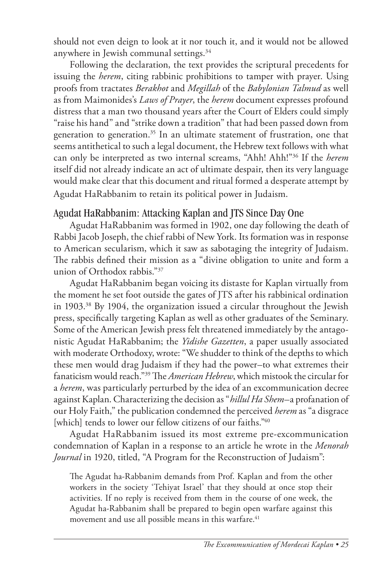should not even deign to look at it nor touch it, and it would not be allowed anywhere in Jewish communal settings.<sup>34</sup>

Following the declaration, the text provides the scriptural precedents for issuing the *herem*, citing rabbinic prohibitions to tamper with prayer. Using proofs from tractates *Berakhot* and *Megillah* of the *Babylonian Talmud* as well as from Maimonides's *Laws of Prayer*, the *herem* document expresses profound distress that a man two thousand years after the Court of Elders could simply "raise his hand" and "strike down a tradition" that had been passed down from generation to generation.<sup>35</sup> In an ultimate statement of frustration, one that seems antithetical to such a legal document, the Hebrew text follows with what can only be interpreted as two internal screams, "Ahh! Ahh!"36 If the *herem* itself did not already indicate an act of ultimate despair, then its very language would make clear that this document and ritual formed a desperate attempt by Agudat HaRabbanim to retain its political power in Judaism.

## Agudat HaRabbanim: Attacking Kaplan and JTS Since Day One

Agudat HaRabbanim was formed in 1902, one day following the death of Rabbi Jacob Joseph, the chief rabbi of New York. Its formation was in response to American secularism, which it saw as sabotaging the integrity of Judaism. The rabbis defined their mission as a "divine obligation to unite and form a union of Orthodox rabbis."37

Agudat HaRabbanim began voicing its distaste for Kaplan virtually from the moment he set foot outside the gates of JTS after his rabbinical ordination in 1903.38 By 1904, the organization issued a circular throughout the Jewish press, specifically targeting Kaplan as well as other graduates of the Seminary. Some of the American Jewish press felt threatened immediately by the antagonistic Agudat HaRabbanim; the *Yidishe Gazetten*, a paper usually associated with moderate Orthodoxy, wrote: "We shudder to think of the depths to which these men would drag Judaism if they had the power–to what extremes their fanaticism would reach."39 The *American Hebrew*, which mistook the circular for a *herem*, was particularly perturbed by the idea of an excommunication decree against Kaplan. Characterizing the decision as "*hillul Ha Shem–*a profanation of our Holy Faith," the publication condemned the perceived *herem* as "a disgrace [which] tends to lower our fellow citizens of our faiths."40

Agudat HaRabbanim issued its most extreme pre-excommunication condemnation of Kaplan in a response to an article he wrote in the *Menorah Journal* in 1920, titled, "A Program for the Reconstruction of Judaism":

The Agudat ha-Rabbanim demands from Prof. Kaplan and from the other workers in the society 'Tehiyat Israel' that they should at once stop their activities. If no reply is received from them in the course of one week, the Agudat ha-Rabbanim shall be prepared to begin open warfare against this movement and use all possible means in this warfare.<sup>41</sup>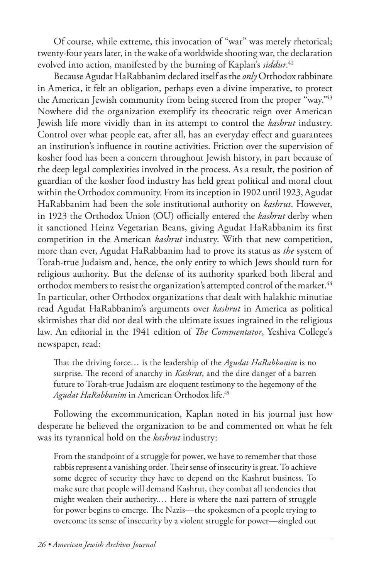Of course, while extreme, this invocation of "war" was merely rhetorical; twenty-four years later, in the wake of a worldwide shooting war, the declaration evolved into action, manifested by the burning of Kaplan's *siddur*. 42

Because Agudat HaRabbanim declared itself as the *only* Orthodox rabbinate in America, it felt an obligation, perhaps even a divine imperative, to protect the American Jewish community from being steered from the proper "way."43 Nowhere did the organization exemplify its theocratic reign over American Jewish life more vividly than in its attempt to control the *kashrut* industry. Control over what people eat, after all, has an everyday effect and guarantees an institution's influence in routine activities. Friction over the supervision of kosher food has been a concern throughout Jewish history, in part because of the deep legal complexities involved in the process. As a result, the position of guardian of the kosher food industry has held great political and moral clout within the Orthodox community. From its inception in 1902 until 1923, Agudat HaRabbanim had been the sole institutional authority on *kashrut*. However, in 1923 the Orthodox Union (OU) officially entered the *kashrut* derby when it sanctioned Heinz Vegetarian Beans, giving Agudat HaRabbanim its first competition in the American *kashrut* industry. With that new competition, more than ever, Agudat HaRabbanim had to prove its status as *the* system of Torah-true Judaism and, hence, the only entity to which Jews should turn for religious authority. But the defense of its authority sparked both liberal and orthodox members to resist the organization's attempted control of the market.<sup>44</sup> In particular, other Orthodox organizations that dealt with halakhic minutiae read Agudat HaRabbanim's arguments over *kashrut* in America as political skirmishes that did not deal with the ultimate issues ingrained in the religious law. An editorial in the 1941 edition of *The Commentator*, Yeshiva College's newspaper, read:

That the driving force… is the leadership of the *Agudat HaRabbanim* is no surprise. The record of anarchy in *Kashrut*, and the dire danger of a barren future to Torah-true Judaism are eloquent testimony to the hegemony of the *Agudat HaRabbanim* in American Orthodox life.45

Following the excommunication, Kaplan noted in his journal just how desperate he believed the organization to be and commented on what he felt was its tyrannical hold on the *kashrut* industry:

From the standpoint of a struggle for power, we have to remember that those rabbis represent a vanishing order. Their sense of insecurity is great. To achieve some degree of security they have to depend on the Kashrut business. To make sure that people will demand Kashrut, they combat all tendencies that might weaken their authority.… Here is where the nazi pattern of struggle for power begins to emerge. The Nazis—the spokesmen of a people trying to overcome its sense of insecurity by a violent struggle for power—singled out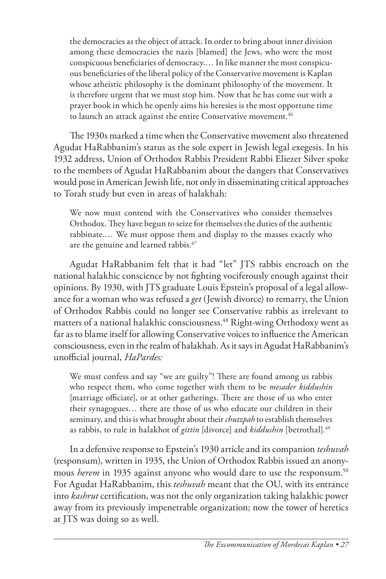the democracies as the object of attack. In order to bring about inner division among these democracies the nazis [blamed] the Jews, who were the most conspicuous beneficiaries of democracy.… In like manner the most conspicuous beneficiaries of the liberal policy of the Conservative movement is Kaplan whose atheistic philosophy is the dominant philosophy of the movement. It is therefore urgent that we must stop him. Now that he has come out with a prayer book in which he openly aims his heresies is the most opportune time to launch an attack against the entire Conservative movement.<sup>46</sup>

The 1930s marked a time when the Conservative movement also threatened Agudat HaRabbanim's status as the sole expert in Jewish legal exegesis. In his 1932 address, Union of Orthodox Rabbis President Rabbi Eliezer Silver spoke to the members of Agudat HaRabbanim about the dangers that Conservatives would pose in American Jewish life, not only in disseminating critical approaches to Torah study but even in areas of halakhah:

We now must contend with the Conservatives who consider themselves Orthodox. They have begun to seize for themselves the duties of the authentic rabbinate.… We must oppose them and display to the masses exactly who are the genuine and learned rabbis.<sup>47</sup>

Agudat HaRabbanim felt that it had "let" JTS rabbis encroach on the national halakhic conscience by not fighting vociferously enough against their opinions. By 1930, with JTS graduate Louis Epstein's proposal of a legal allowance for a woman who was refused a *get* (Jewish divorce) to remarry, the Union of Orthodox Rabbis could no longer see Conservative rabbis as irrelevant to matters of a national halakhic consciousness.<sup>48</sup> Right-wing Orthodoxy went as far as to blame itself for allowing Conservative voices to influence the American consciousness, even in the realm of halakhah. As it says in Agudat HaRabbanim's unofficial journal, *HaPardes:*

We must confess and say "we are guilty"! There are found among us rabbis who respect them, who come together with them to be *mesader kiddushin*  [marriage officiate], or at other gatherings. There are those of us who enter their synagogues… there are those of us who educate our children in their seminary, and this is what brought about their *chutzpah* to establish themselves as rabbis, to rule in halakhot of *gittin* [divorce] and *kiddushin* [betrothal].49

In a defensive response to Epstein's 1930 article and its companion *teshuvah* (responsum), written in 1935, the Union of Orthodox Rabbis issued an anonymous *herem* in 1935 against anyone who would dare to use the responsum.<sup>50</sup> For Agudat HaRabbanim, this *teshuvah* meant that the OU, with its entrance into *kashrut* certification, was not the only organization taking halakhic power away from its previously impenetrable organization; now the tower of heretics at JTS was doing so as well.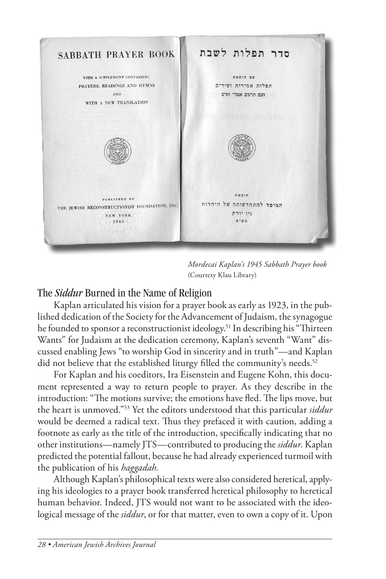

*Mordecai Kaplan's 1945 Sabbath Prayer book* (Courtesy Klau Library)

## The *Siddur* Burned in the Name of Religion

Kaplan articulated his vision for a prayer book as early as 1923, in the published dedication of the Society for the Advancement of Judaism, the synagogue he founded to sponsor a reconstructionist ideology.<sup>51</sup> In describing his "Thirteen Wants" for Judaism at the dedication ceremony, Kaplan's seventh "Want" discussed enabling Jews "to worship God in sincerity and in truth"—and Kaplan did not believe that the established liturgy filled the community's needs.<sup>52</sup>

For Kaplan and his coeditors, Ira Eisenstein and Eugene Kohn, this document represented a way to return people to prayer. As they describe in the introduction: "The motions survive; the emotions have fled. The lips move, but the heart is unmoved."53 Yet the editors understood that this particular *siddur* would be deemed a radical text. Thus they prefaced it with caution, adding a footnote as early as the title of the introduction, specifically indicating that no other institutions—namely JTS—contributed to producing the *siddur*. Kaplan predicted the potential fallout, because he had already experienced turmoil with the publication of his *haggadah.* 

Although Kaplan's philosophical texts were also considered heretical, applying his ideologies to a prayer book transferred heretical philosophy to heretical human behavior. Indeed, JTS would not want to be associated with the ideological message of the *siddur*, or for that matter, even to own a copy of it. Upon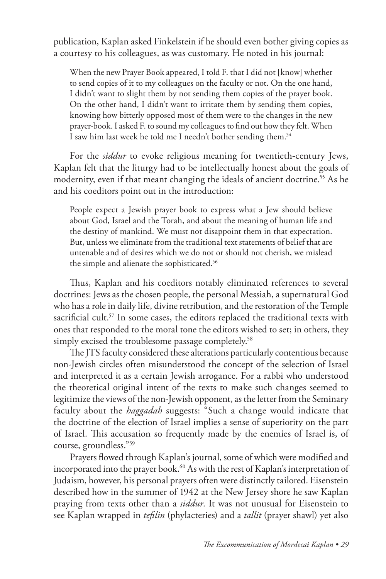publication, Kaplan asked Finkelstein if he should even bother giving copies as a courtesy to his colleagues, as was customary. He noted in his journal:

When the new Prayer Book appeared, I told F. that I did not [know] whether to send copies of it to my colleagues on the faculty or not. On the one hand, I didn't want to slight them by not sending them copies of the prayer book. On the other hand, I didn't want to irritate them by sending them copies, knowing how bitterly opposed most of them were to the changes in the new prayer-book. I asked F. to sound my colleagues to find out how they felt. When I saw him last week he told me I needn't bother sending them.<sup>54</sup>

For the *siddur* to evoke religious meaning for twentieth-century Jews, Kaplan felt that the liturgy had to be intellectually honest about the goals of modernity, even if that meant changing the ideals of ancient doctrine.<sup>55</sup> As he and his coeditors point out in the introduction:

People expect a Jewish prayer book to express what a Jew should believe about God, Israel and the Torah, and about the meaning of human life and the destiny of mankind. We must not disappoint them in that expectation. But, unless we eliminate from the traditional text statements of belief that are untenable and of desires which we do not or should not cherish, we mislead the simple and alienate the sophisticated.<sup>56</sup>

Thus, Kaplan and his coeditors notably eliminated references to several doctrines: Jews as the chosen people, the personal Messiah, a supernatural God who has a role in daily life, divine retribution, and the restoration of the Temple sacrificial cult.<sup>57</sup> In some cases, the editors replaced the traditional texts with ones that responded to the moral tone the editors wished to set; in others, they simply excised the troublesome passage completely.<sup>58</sup>

The JTS faculty considered these alterations particularly contentious because non-Jewish circles often misunderstood the concept of the selection of Israel and interpreted it as a certain Jewish arrogance. For a rabbi who understood the theoretical original intent of the texts to make such changes seemed to legitimize the views of the non-Jewish opponent, as the letter from the Seminary faculty about the *haggadah* suggests: "Such a change would indicate that the doctrine of the election of Israel implies a sense of superiority on the part of Israel. This accusation so frequently made by the enemies of Israel is, of course, groundless."59

Prayers flowed through Kaplan's journal, some of which were modified and incorporated into the prayer book.<sup>60</sup> As with the rest of Kaplan's interpretation of Judaism, however, his personal prayers often were distinctly tailored. Eisenstein described how in the summer of 1942 at the New Jersey shore he saw Kaplan praying from texts other than a *siddur*. It was not unusual for Eisenstein to see Kaplan wrapped in *tefilin* (phylacteries) and a *tallit* (prayer shawl) yet also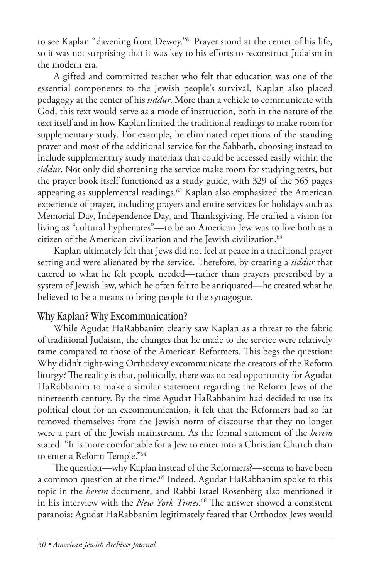to see Kaplan "davening from Dewey."61 Prayer stood at the center of his life, so it was not surprising that it was key to his efforts to reconstruct Judaism in the modern era.

A gifted and committed teacher who felt that education was one of the essential components to the Jewish people's survival, Kaplan also placed pedagogy at the center of his *siddur*. More than a vehicle to communicate with God, this text would serve as a mode of instruction, both in the nature of the text itself and in how Kaplan limited the traditional readings to make room for supplementary study. For example, he eliminated repetitions of the standing prayer and most of the additional service for the Sabbath, choosing instead to include supplementary study materials that could be accessed easily within the *siddur*. Not only did shortening the service make room for studying texts, but the prayer book itself functioned as a study guide, with 329 of the 565 pages appearing as supplemental readings.62 Kaplan also emphasized the American experience of prayer, including prayers and entire services for holidays such as Memorial Day, Independence Day, and Thanksgiving. He crafted a vision for living as "cultural hyphenates"—to be an American Jew was to live both as a citizen of the American civilization and the Jewish civilization.<sup>63</sup>

Kaplan ultimately felt that Jews did not feel at peace in a traditional prayer setting and were alienated by the service. Therefore, by creating a *siddur* that catered to what he felt people needed—rather than prayers prescribed by a system of Jewish law, which he often felt to be antiquated—he created what he believed to be a means to bring people to the synagogue.

## Why Kaplan? Why Excommunication?

While Agudat HaRabbanim clearly saw Kaplan as a threat to the fabric of traditional Judaism, the changes that he made to the service were relatively tame compared to those of the American Reformers. This begs the question: Why didn't right-wing Orthodoxy excommunicate the creators of the Reform liturgy? The reality is that, politically, there was no real opportunity for Agudat HaRabbanim to make a similar statement regarding the Reform Jews of the nineteenth century. By the time Agudat HaRabbanim had decided to use its political clout for an excommunication, it felt that the Reformers had so far removed themselves from the Jewish norm of discourse that they no longer were a part of the Jewish mainstream. As the formal statement of the *herem*  stated: "It is more comfortable for a Jew to enter into a Christian Church than to enter a Reform Temple."64

The question—why Kaplan instead of the Reformers?—seems to have been a common question at the time.<sup>65</sup> Indeed, Agudat HaRabbanim spoke to this topic in the *herem* document, and Rabbi Israel Rosenberg also mentioned it in his interview with the *New York Times*. 66 The answer showed a consistent paranoia: Agudat HaRabbanim legitimately feared that Orthodox Jews would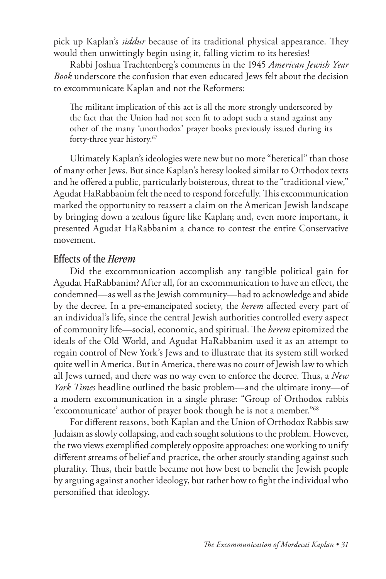pick up Kaplan's *siddur* because of its traditional physical appearance. They would then unwittingly begin using it, falling victim to its heresies!

Rabbi Joshua Trachtenberg's comments in the 1945 *American Jewish Year Book* underscore the confusion that even educated Jews felt about the decision to excommunicate Kaplan and not the Reformers:

The militant implication of this act is all the more strongly underscored by the fact that the Union had not seen fit to adopt such a stand against any other of the many 'unorthodox' prayer books previously issued during its forty-three year history.67

Ultimately Kaplan's ideologies were new but no more "heretical" than those of many other Jews. But since Kaplan's heresy looked similar to Orthodox texts and he offered a public, particularly boisterous, threat to the "traditional view," Agudat HaRabbanim felt the need to respond forcefully. This excommunication marked the opportunity to reassert a claim on the American Jewish landscape by bringing down a zealous figure like Kaplan; and, even more important, it presented Agudat HaRabbanim a chance to contest the entire Conservative movement.

#### Effects of the *Herem*

Did the excommunication accomplish any tangible political gain for Agudat HaRabbanim? After all, for an excommunication to have an effect, the condemned—as well as the Jewish community—had to acknowledge and abide by the decree. In a pre-emancipated society, the *herem* affected every part of an individual's life, since the central Jewish authorities controlled every aspect of community life—social, economic, and spiritual. The *herem* epitomized the ideals of the Old World, and Agudat HaRabbanim used it as an attempt to regain control of New York's Jews and to illustrate that its system still worked quite well in America. But in America, there was no court of Jewish law to which all Jews turned, and there was no way even to enforce the decree. Thus, a *New York Times* headline outlined the basic problem—and the ultimate irony—of a modern excommunication in a single phrase: "Group of Orthodox rabbis 'excommunicate' author of prayer book though he is not a member."68

For different reasons, both Kaplan and the Union of Orthodox Rabbis saw Judaism as slowly collapsing, and each sought solutions to the problem. However, the two views exemplified completely opposite approaches: one working to unify different streams of belief and practice, the other stoutly standing against such plurality. Thus, their battle became not how best to benefit the Jewish people by arguing against another ideology, but rather how to fight the individual who personified that ideology.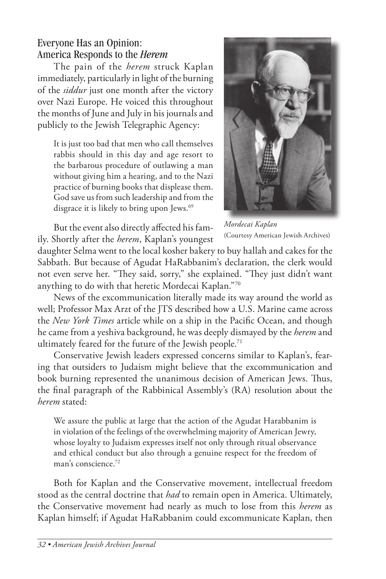# Everyone Has an Opinion: America Responds to the *Herem*

The pain of the *herem* struck Kaplan immediately, particularly in light of the burning of the *siddur* just one month after the victory over Nazi Europe. He voiced this throughout the months of June and July in his journals and publicly to the Jewish Telegraphic Agency:

It is just too bad that men who call themselves rabbis should in this day and age resort to the barbarous procedure of outlawing a man without giving him a hearing, and to the Nazi practice of burning books that displease them. God save us from such leadership and from the disgrace it is likely to bring upon Jews.<sup>69</sup>



But the event also directly affected his family. Shortly after the *herem*, Kaplan's youngest

*Mordecai Kaplan* (Courtesy American Jewish Archives)

daughter Selma went to the local kosher bakery to buy hallah and cakes for the Sabbath. But because of Agudat HaRabbanim's declaration, the clerk would not even serve her. "They said, sorry," she explained. "They just didn't want anything to do with that heretic Mordecai Kaplan."70

News of the excommunication literally made its way around the world as well; Professor Max Arzt of the JTS described how a U.S. Marine came across the *New York Times* article while on a ship in the Pacific Ocean, and though he came from a yeshiva background, he was deeply dismayed by the *herem* and ultimately feared for the future of the Jewish people.<sup>71</sup>

Conservative Jewish leaders expressed concerns similar to Kaplan's, fearing that outsiders to Judaism might believe that the excommunication and book burning represented the unanimous decision of American Jews. Thus, the final paragraph of the Rabbinical Assembly's (RA) resolution about the *herem* stated:

We assure the public at large that the action of the Agudat Harabbanim is in violation of the feelings of the overwhelming majority of American Jewry, whose loyalty to Judaism expresses itself not only through ritual observance and ethical conduct but also through a genuine respect for the freedom of man's conscience.<sup>72</sup>

Both for Kaplan and the Conservative movement, intellectual freedom stood as the central doctrine that *had* to remain open in America. Ultimately, the Conservative movement had nearly as much to lose from this *herem* as Kaplan himself; if Agudat HaRabbanim could excommunicate Kaplan, then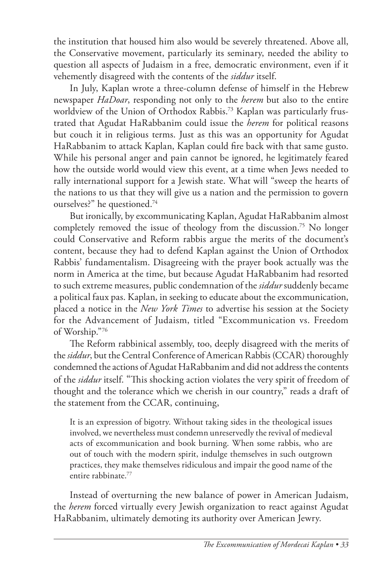the institution that housed him also would be severely threatened. Above all, the Conservative movement, particularly its seminary, needed the ability to question all aspects of Judaism in a free, democratic environment, even if it vehemently disagreed with the contents of the *siddur* itself.

In July, Kaplan wrote a three-column defense of himself in the Hebrew newspaper *HaDoar*, responding not only to the *herem* but also to the entire worldview of the Union of Orthodox Rabbis.73 Kaplan was particularly frustrated that Agudat HaRabbanim could issue the *herem* for political reasons but couch it in religious terms. Just as this was an opportunity for Agudat HaRabbanim to attack Kaplan, Kaplan could fire back with that same gusto. While his personal anger and pain cannot be ignored, he legitimately feared how the outside world would view this event, at a time when Jews needed to rally international support for a Jewish state. What will "sweep the hearts of the nations to us that they will give us a nation and the permission to govern ourselves?" he questioned.74

But ironically, by excommunicating Kaplan, Agudat HaRabbanim almost completely removed the issue of theology from the discussion.<sup>75</sup> No longer could Conservative and Reform rabbis argue the merits of the document's content, because they had to defend Kaplan against the Union of Orthodox Rabbis' fundamentalism. Disagreeing with the prayer book actually was the norm in America at the time, but because Agudat HaRabbanim had resorted to such extreme measures, public condemnation of the *siddur* suddenly became a political faux pas. Kaplan, in seeking to educate about the excommunication, placed a notice in the *New York Times* to advertise his session at the Society for the Advancement of Judaism, titled "Excommunication vs. Freedom of Worship."76

The Reform rabbinical assembly, too, deeply disagreed with the merits of the *siddur*, but the Central Conference of American Rabbis (CCAR) thoroughly condemned the actions of Agudat HaRabbanim and did not address the contents of the *siddur* itself. "This shocking action violates the very spirit of freedom of thought and the tolerance which we cherish in our country," reads a draft of the statement from the CCAR, continuing,

It is an expression of bigotry. Without taking sides in the theological issues involved, we nevertheless must condemn unreservedly the revival of medieval acts of excommunication and book burning. When some rabbis, who are out of touch with the modern spirit, indulge themselves in such outgrown practices, they make themselves ridiculous and impair the good name of the entire rabbinate.<sup>77</sup>

Instead of overturning the new balance of power in American Judaism, the *herem* forced virtually every Jewish organization to react against Agudat HaRabbanim, ultimately demoting its authority over American Jewry.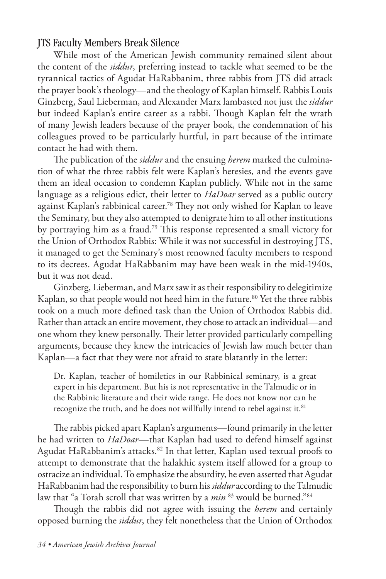## JTS Faculty Members Break Silence

While most of the American Jewish community remained silent about the content of the *siddur*, preferring instead to tackle what seemed to be the tyrannical tactics of Agudat HaRabbanim, three rabbis from JTS did attack the prayer book's theology—and the theology of Kaplan himself. Rabbis Louis Ginzberg, Saul Lieberman, and Alexander Marx lambasted not just the *siddur* but indeed Kaplan's entire career as a rabbi. Though Kaplan felt the wrath of many Jewish leaders because of the prayer book, the condemnation of his colleagues proved to be particularly hurtful, in part because of the intimate contact he had with them.

The publication of the *siddur* and the ensuing *herem* marked the culmination of what the three rabbis felt were Kaplan's heresies, and the events gave them an ideal occasion to condemn Kaplan publicly. While not in the same language as a religious edict, their letter to *HaDoar* served as a public outcry against Kaplan's rabbinical career.78 They not only wished for Kaplan to leave the Seminary, but they also attempted to denigrate him to all other institutions by portraying him as a fraud.<sup>79</sup> This response represented a small victory for the Union of Orthodox Rabbis: While it was not successful in destroying JTS, it managed to get the Seminary's most renowned faculty members to respond to its decrees. Agudat HaRabbanim may have been weak in the mid-1940s, but it was not dead.

Ginzberg, Lieberman, and Marx saw it as their responsibility to delegitimize Kaplan, so that people would not heed him in the future.<sup>80</sup> Yet the three rabbis took on a much more defined task than the Union of Orthodox Rabbis did. Rather than attack an entire movement, they chose to attack an individual—and one whom they knew personally. Their letter provided particularly compelling arguments, because they knew the intricacies of Jewish law much better than Kaplan—a fact that they were not afraid to state blatantly in the letter:

Dr. Kaplan, teacher of homiletics in our Rabbinical seminary, is a great expert in his department. But his is not representative in the Talmudic or in the Rabbinic literature and their wide range. He does not know nor can he recognize the truth, and he does not willfully intend to rebel against it.<sup>81</sup>

The rabbis picked apart Kaplan's arguments—found primarily in the letter he had written to *HaDoar—*that Kaplan had used to defend himself against Agudat HaRabbanim's attacks.<sup>82</sup> In that letter, Kaplan used textual proofs to attempt to demonstrate that the halakhic system itself allowed for a group to ostracize an individual. To emphasize the absurdity, he even asserted that Agudat HaRabbanim had the responsibility to burn his *siddur* according to the Talmudic law that "a Torah scroll that was written by a *min* 83 would be burned."84

Though the rabbis did not agree with issuing the *herem* and certainly opposed burning the *siddur*, they felt nonetheless that the Union of Orthodox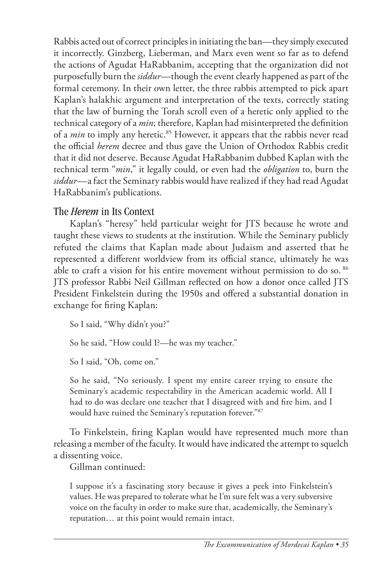Rabbis acted out of correct principles in initiating the ban—they simply executed it incorrectly. Ginzberg, Lieberman, and Marx even went so far as to defend the actions of Agudat HaRabbanim, accepting that the organization did not purposefully burn the *siddur*—though the event clearly happened as part of the formal ceremony. In their own letter, the three rabbis attempted to pick apart Kaplan's halakhic argument and interpretation of the texts, correctly stating that the law of burning the Torah scroll even of a heretic only applied to the technical category of a *min*; therefore, Kaplan had misinterpreted the definition of a *min* to imply any heretic.<sup>85</sup> However, it appears that the rabbis never read the official *herem* decree and thus gave the Union of Orthodox Rabbis credit that it did not deserve. Because Agudat HaRabbanim dubbed Kaplan with the technical term "*min*," it legally could, or even had the *obligation* to, burn the *siddur—*a fact the Seminary rabbis would have realized if they had read Agudat HaRabbanim's publications.

## The *Herem* in Its Context

Kaplan's "heresy" held particular weight for JTS because he wrote and taught these views to students at the institution. While the Seminary publicly refuted the claims that Kaplan made about Judaism and asserted that he represented a different worldview from its official stance, ultimately he was able to craft a vision for his entire movement without permission to do so. 86 JTS professor Rabbi Neil Gillman reflected on how a donor once called JTS President Finkelstein during the 1950s and offered a substantial donation in exchange for firing Kaplan:

So I said, "Why didn't you?"

So he said, "How could I?—he was my teacher."

So I said, "Oh, come on."

So he said, "No seriously. I spent my entire career trying to ensure the Seminary's academic respectability in the American academic world. All I had to do was declare one teacher that I disagreed with and fire him, and I would have ruined the Seminary's reputation forever."87

To Finkelstein, firing Kaplan would have represented much more than releasing a member of the faculty. It would have indicated the attempt to squelch a dissenting voice.

Gillman continued:

I suppose it's a fascinating story because it gives a peek into Finkelstein's values. He was prepared to tolerate what he I'm sure felt was a very subversive voice on the faculty in order to make sure that, academically, the Seminary's reputation… at this point would remain intact.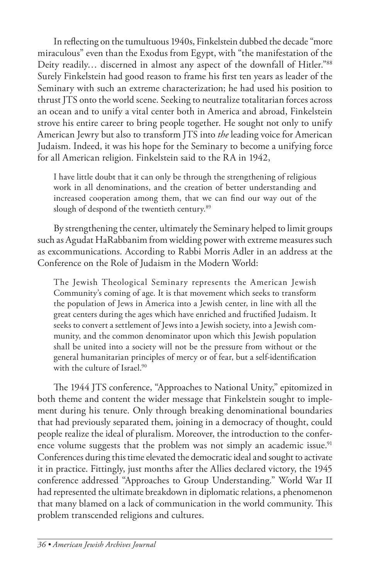In reflecting on the tumultuous 1940s, Finkelstein dubbed the decade "more miraculous" even than the Exodus from Egypt, with "the manifestation of the Deity readily... discerned in almost any aspect of the downfall of Hitler."88 Surely Finkelstein had good reason to frame his first ten years as leader of the Seminary with such an extreme characterization; he had used his position to thrust JTS onto the world scene. Seeking to neutralize totalitarian forces across an ocean and to unify a vital center both in America and abroad, Finkelstein strove his entire career to bring people together. He sought not only to unify American Jewry but also to transform JTS into *the* leading voice for American Judaism. Indeed, it was his hope for the Seminary to become a unifying force for all American religion. Finkelstein said to the RA in 1942,

I have little doubt that it can only be through the strengthening of religious work in all denominations, and the creation of better understanding and increased cooperation among them, that we can find our way out of the slough of despond of the twentieth century.<sup>89</sup>

By strengthening the center, ultimately the Seminary helped to limit groups such as Agudat HaRabbanim from wielding power with extreme measures such as excommunications. According to Rabbi Morris Adler in an address at the Conference on the Role of Judaism in the Modern World:

The Jewish Theological Seminary represents the American Jewish Community's coming of age. It is that movement which seeks to transform the population of Jews in America into a Jewish center, in line with all the great centers during the ages which have enriched and fructified Judaism. It seeks to convert a settlement of Jews into a Jewish society, into a Jewish community, and the common denominator upon which this Jewish population shall be united into a society will not be the pressure from without or the general humanitarian principles of mercy or of fear, but a self-identification with the culture of Israel. $90$ 

The 1944 JTS conference, "Approaches to National Unity," epitomized in both theme and content the wider message that Finkelstein sought to implement during his tenure. Only through breaking denominational boundaries that had previously separated them, joining in a democracy of thought, could people realize the ideal of pluralism. Moreover, the introduction to the conference volume suggests that the problem was not simply an academic issue.<sup>91</sup> Conferences during this time elevated the democratic ideal and sought to activate it in practice. Fittingly, just months after the Allies declared victory, the 1945 conference addressed "Approaches to Group Understanding." World War II had represented the ultimate breakdown in diplomatic relations, a phenomenon that many blamed on a lack of communication in the world community. This problem transcended religions and cultures.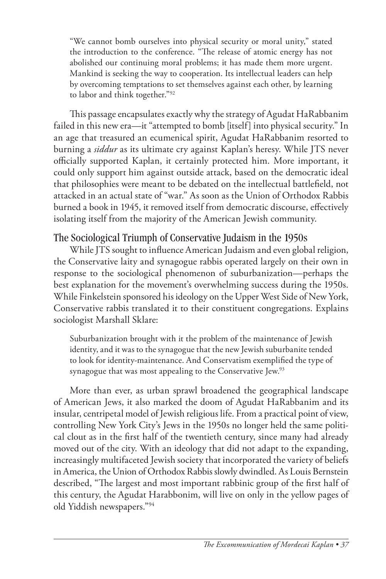"We cannot bomb ourselves into physical security or moral unity," stated the introduction to the conference. "The release of atomic energy has not abolished our continuing moral problems; it has made them more urgent. Mankind is seeking the way to cooperation. Its intellectual leaders can help by overcoming temptations to set themselves against each other, by learning to labor and think together."92

This passage encapsulates exactly why the strategy of Agudat HaRabbanim failed in this new era—it "attempted to bomb [itself] into physical security." In an age that treasured an ecumenical spirit, Agudat HaRabbanim resorted to burning a *siddur* as its ultimate cry against Kaplan's heresy. While JTS never officially supported Kaplan, it certainly protected him. More important, it could only support him against outside attack, based on the democratic ideal that philosophies were meant to be debated on the intellectual battlefield, not attacked in an actual state of "war." As soon as the Union of Orthodox Rabbis burned a book in 1945, it removed itself from democratic discourse, effectively isolating itself from the majority of the American Jewish community.

# The Sociological Triumph of Conservative Judaism in the 1950s

While JTS sought to influence American Judaism and even global religion, the Conservative laity and synagogue rabbis operated largely on their own in response to the sociological phenomenon of suburbanization—perhaps the best explanation for the movement's overwhelming success during the 1950s. While Finkelstein sponsored his ideology on the Upper West Side of New York, Conservative rabbis translated it to their constituent congregations. Explains sociologist Marshall Sklare:

Suburbanization brought with it the problem of the maintenance of Jewish identity, and it was to the synagogue that the new Jewish suburbanite tended to look for identity-maintenance. And Conservatism exemplified the type of synagogue that was most appealing to the Conservative Jew.<sup>93</sup>

More than ever, as urban sprawl broadened the geographical landscape of American Jews, it also marked the doom of Agudat HaRabbanim and its insular, centripetal model of Jewish religious life. From a practical point of view, controlling New York City's Jews in the 1950s no longer held the same political clout as in the first half of the twentieth century, since many had already moved out of the city. With an ideology that did not adapt to the expanding, increasingly multifaceted Jewish society that incorporated the variety of beliefs in America, the Union of Orthodox Rabbis slowly dwindled. As Louis Bernstein described, "The largest and most important rabbinic group of the first half of this century, the Agudat Harabbonim, will live on only in the yellow pages of old Yiddish newspapers."94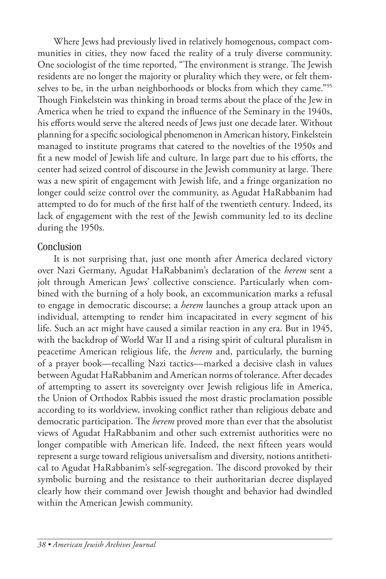Where Jews had previously lived in relatively homogenous, compact communities in cities, they now faced the reality of a truly diverse community. One sociologist of the time reported, "The environment is strange. The Jewish residents are no longer the majority or plurality which they were, or felt themselves to be, in the urban neighborhoods or blocks from which they came."95 Though Finkelstein was thinking in broad terms about the place of the Jew in America when he tried to expand the influence of the Seminary in the 1940s, his efforts would serve the altered needs of Jews just one decade later. Without planning for a specific sociological phenomenon in American history, Finkelstein managed to institute programs that catered to the novelties of the 1950s and fit a new model of Jewish life and culture. In large part due to his efforts, the center had seized control of discourse in the Jewish community at large. There was a new spirit of engagement with Jewish life, and a fringe organization no longer could seize control over the community, as Agudat HaRabbanim had attempted to do for much of the first half of the twentieth century. Indeed, its lack of engagement with the rest of the Jewish community led to its decline during the 1950s.

#### **Conclusion**

It is not surprising that, just one month after America declared victory over Nazi Germany, Agudat HaRabbanim's declaration of the *herem* sent a jolt through American Jews' collective conscience. Particularly when combined with the burning of a holy book, an excommunication marks a refusal to engage in democratic discourse; a *herem* launches a group attack upon an individual, attempting to render him incapacitated in every segment of his life. Such an act might have caused a similar reaction in any era. But in 1945, with the backdrop of World War II and a rising spirit of cultural pluralism in peacetime American religious life, the *herem* and, particularly, the burning of a prayer book—recalling Nazi tactics—marked a decisive clash in values between Agudat HaRabbanim and American norms of tolerance. After decades of attempting to assert its sovereignty over Jewish religious life in America, the Union of Orthodox Rabbis issued the most drastic proclamation possible according to its worldview, invoking conflict rather than religious debate and democratic participation. The *herem* proved more than ever that the absolutist views of Agudat HaRabbanim and other such extremist authorities were no longer compatible with American life. Indeed, the next fifteen years would represent a surge toward religious universalism and diversity, notions antithetical to Agudat HaRabbanim's self-segregation. The discord provoked by their symbolic burning and the resistance to their authoritarian decree displayed clearly how their command over Jewish thought and behavior had dwindled within the American Jewish community.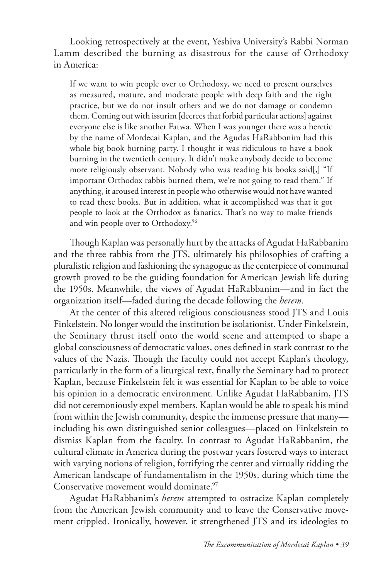Looking retrospectively at the event, Yeshiva University's Rabbi Norman Lamm described the burning as disastrous for the cause of Orthodoxy in America:

If we want to win people over to Orthodoxy, we need to present ourselves as measured, mature, and moderate people with deep faith and the right practice, but we do not insult others and we do not damage or condemn them. Coming out with issurim [decrees that forbid particular actions] against everyone else is like another Fatwa. When I was younger there was a heretic by the name of Mordecai Kaplan, and the Agudas HaRabbonim had this whole big book burning party. I thought it was ridiculous to have a book burning in the twentieth century. It didn't make anybody decide to become more religiously observant. Nobody who was reading his books said[,] "If important Orthodox rabbis burned them, we're not going to read them." If anything, it aroused interest in people who otherwise would not have wanted to read these books. But in addition, what it accomplished was that it got people to look at the Orthodox as fanatics. That's no way to make friends and win people over to Orthodoxy.<sup>96</sup>

Though Kaplan was personally hurt by the attacks of Agudat HaRabbanim and the three rabbis from the JTS, ultimately his philosophies of crafting a pluralistic religion and fashioning the synagogue as the centerpiece of communal growth proved to be the guiding foundation for American Jewish life during the 1950s. Meanwhile, the views of Agudat HaRabbanim—and in fact the organization itself—faded during the decade following the *herem.*

At the center of this altered religious consciousness stood JTS and Louis Finkelstein. No longer would the institution be isolationist. Under Finkelstein, the Seminary thrust itself onto the world scene and attempted to shape a global consciousness of democratic values, ones defined in stark contrast to the values of the Nazis. Though the faculty could not accept Kaplan's theology, particularly in the form of a liturgical text, finally the Seminary had to protect Kaplan, because Finkelstein felt it was essential for Kaplan to be able to voice his opinion in a democratic environment. Unlike Agudat HaRabbanim, JTS did not ceremoniously expel members. Kaplan would be able to speak his mind from within the Jewish community, despite the immense pressure that many including his own distinguished senior colleagues—placed on Finkelstein to dismiss Kaplan from the faculty. In contrast to Agudat HaRabbanim, the cultural climate in America during the postwar years fostered ways to interact with varying notions of religion, fortifying the center and virtually ridding the American landscape of fundamentalism in the 1950s, during which time the Conservative movement would dominate.<sup>97</sup>

Agudat HaRabbanim's *herem* attempted to ostracize Kaplan completely from the American Jewish community and to leave the Conservative movement crippled. Ironically, however, it strengthened JTS and its ideologies to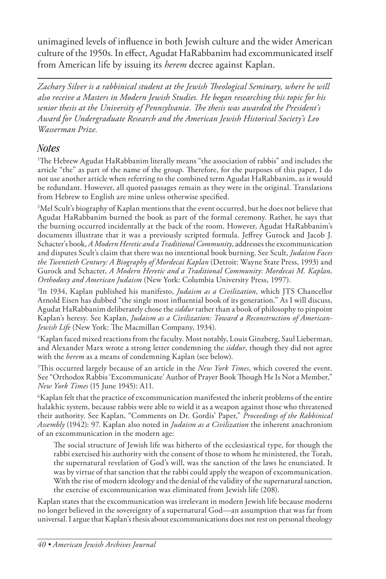unimagined levels of influence in both Jewish culture and the wider American culture of the 1950s. In effect, Agudat HaRabbanim had excommunicated itself from American life by issuing its *herem* decree against Kaplan.

*Zachary Silver is a rabbinical student at the Jewish Theological Seminary, where he will also receive a Masters in Modern Jewish Studies. He began researching this topic for his senior thesis at the University of Pennsylvania. The thesis was awarded the President's Award for Undergraduate Research and the American Jewish Historical Society's Leo Wasserman Prize.*

# *Notes*

1 The Hebrew Agudat HaRabbanim literally means "the association of rabbis" and includes the article "the" as part of the name of the group. Therefore, for the purposes of this paper, I do not use another article when referring to the combined term Agudat HaRabbanim, as it would be redundant. However, all quoted passages remain as they were in the original. Translations from Hebrew to English are mine unless otherwise specified.

2 Mel Scult's biography of Kaplan mentions that the event occurred, but he does not believe that Agudat HaRabbanim burned the book as part of the formal ceremony. Rather, he says that the burning occurred incidentally at the back of the room. However, Agudat HaRabbanim's documents illustrate that it was a previously scripted formula. Jeffrey Gurock and Jacob J. Schacter's book, *A Modern Heretic and a Traditional Community*, addresses the excommunication and disputes Scult's claim that there was no intentional book burning. See Scult, *Judaism Faces the Twentieth Century: A Biography of Mordecai Kaplan* (Detroit: Wayne State Press, 1993) and Gurock and Schacter, *A Modern Heretic and a Traditional Community*: *Mordecai M. Kaplan, Orthodoxy and American Judaism* (New York: Columbia University Press, 1997).

3 In 1934, Kaplan published his manifesto, *Judaism as a Civilization*, which JTS Chancellor Arnold Eisen has dubbed "the single most influential book of its generation." As I will discuss, Agudat HaRabbanim deliberately chose the *siddur* rather than a book of philosophy to pinpoint Kaplan's heresy. See Kaplan, *Judaism as a Civilization: Toward a Reconstruction of American-Jewish Life* (New York: The Macmillan Company, 1934).

4 Kaplan faced mixed reactions from the faculty. Most notably, Louis Ginzberg, Saul Lieberman, and Alexander Marx wrote a strong letter condemning the *siddur*, though they did not agree with the *herem* as a means of condemning Kaplan (see below).

5 This occurred largely because of an article in the *New York Times*, which covered the event. See "Orthodox Rabbis 'Excommunicate' Author of Prayer Book Though He Is Not a Member," *New York Times* (15 June 1945): A11.

6 Kaplan felt that the practice of excommunication manifested the inherit problems of the entire halakhic system, because rabbis were able to wield it as a weapon against those who threatened their authority. See Kaplan, "Comments on Dr. Gordis' Paper," *Proceedings of the Rabbinical Assembly* (1942): 97. Kaplan also noted in *Judaism as a Civilization* the inherent anachronism of an excommunication in the modern age:

The social structure of Jewish life was hitherto of the ecclesiastical type, for though the rabbi exercised his authority with the consent of those to whom he ministered, the Torah, the supernatural revelation of God's will, was the sanction of the laws he enunciated. It was by virtue of that sanction that the rabbi could apply the weapon of excommunication. With the rise of modern ideology and the denial of the validity of the supernatural sanction, the exercise of excommunication was eliminated from Jewish life (208).

Kaplan states that the excommunication was irrelevant in modern Jewish life because moderns no longer believed in the sovereignty of a supernatural God—an assumption that was far from universal. I argue that Kaplan's thesis about excommunications does not rest on personal theology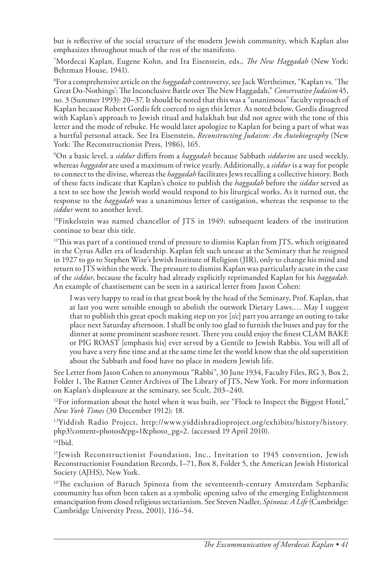but is reflective of the social structure of the modern Jewish community, which Kaplan also emphasizes throughout much of the rest of the manifesto.

7 Mordecai Kaplan, Eugene Kohn, and Ira Eisenstein, eds., *The New Haggadah* (New York: Behrman House, 1941).

8 For a comprehensive article on the *haggadah* controversy, see Jack Wertheimer, "Kaplan vs. 'The Great Do-Nothings': The Inconclusive Battle over The New Haggadah," *Conservative Judaism* 45, no. 3 (Summer 1993): 20–37. It should be noted that this was a "unanimous" faculty reproach of Kaplan because Robert Gordis felt coerced to sign this letter. As noted below, Gordis disagreed with Kaplan's approach to Jewish ritual and halakhah but did not agree with the tone of this letter and the mode of rebuke. He would later apologize to Kaplan for being a part of what was a hurtful personal attack. See Ira Eisenstein, *Reconstructing Judaism: An Autobiography* (New York: The Reconstructionist Press, 1986), 165.

9 On a basic level, a *siddur* differs from a *haggadah* because Sabbath *siddurim* are used weekly, whereas *haggadot* are used a maximum of twice yearly. Additionally, a *siddur* is a way for people to connect to the divine, whereas the *haggadah* facilitates Jews recalling a collective history. Both of these facts indicate that Kaplan's choice to publish the *haggadah* before the *siddur* served as a test to see how the Jewish world would respond to his liturgical works. As it turned out, the response to the *haggadah* was a unanimous letter of castigation, whereas the response to the *siddur* went to another level.

10Finkelstein was named chancellor of JTS in 1949; subsequent leaders of the institution continue to bear this title.

<sup>11</sup>This was part of a continued trend of pressure to dismiss Kaplan from JTS, which originated in the Cyrus Adler era of leadership. Kaplan felt such unease at the Seminary that he resigned in 1927 to go to Stephen Wise's Jewish Institute of Religion (JIR), only to change his mind and return to JTS within the week. The pressure to dismiss Kaplan was particularly acute in the case of the *siddur*, because the faculty had already explicitly reprimanded Kaplan for his *haggadah*. An example of chastisement can be seen in a satirical letter from Jason Cohen:

I was very happy to read in that great book by the head of the Seminary, Prof. Kaplan, that at last you were sensible enough to abolish the outwork Dietary Laws.… May I suggest that to publish this great epoch making step on yor [*sic*] part you arrange an outing to take place next Saturday afternoon. I shall be only too glad to furnish the buses and pay for the dinner at some prominent seashore resort. There you could enjoy the finest CLAM BAKE or PIG ROAST [emphasis his] ever served by a Gentile to Jewish Rabbis. You will all of you have a very fine time and at the same time let the world know that the old superstition about the Sabbath and food have no place in modern Jewish life.

See Letter from Jason Cohen to anonymous "Rabbi", 30 June 1934, Faculty Files, RG 3, Box 2, Folder 1, The Ratner Center Archives of The Library of JTS, New York. For more information on Kaplan's displeasure at the seminary, see Scult, 203–240.

 $12$ For information about the hotel when it was built, see "Flock to Inspect the Biggest Hotel," *New York Times* (30 December 1912): 18.

13Yiddish Radio Project, http://www.yiddishradioproject.org/exhibits/history/history. php3?content=photos&pg=1&photo\_pg=2. (accessed 19 April 2010).  $14$ Ibid.

<sup>15</sup>Jewish Reconstructionist Foundation, Inc., Invitation to 1945 convention, Jewish Reconstructionist Foundation Records, I–71, Box 8, Folder 5, the American Jewish Historical Society (AJHS), New York.

<sup>16</sup>The exclusion of Baruch Spinoza from the seventeenth-century Amsterdam Sephardic community has often been taken as a symbolic opening salvo of the emerging Enlightenment emancipation from closed religious sectarianism. See Steven Nadler, *Spinoza: A Life* (Cambridge: Cambridge University Press, 2001), 116–54.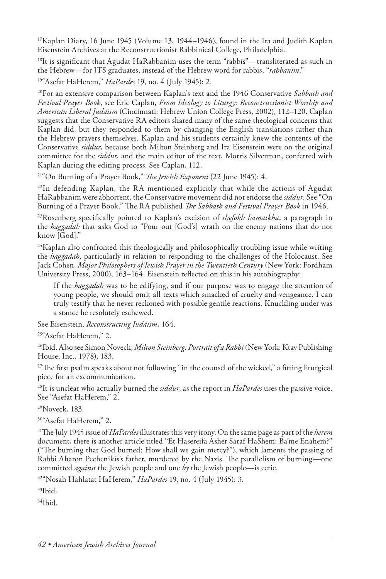<sup>17</sup>Kaplan Diary, 16 June 1945 (Volume 13, 1944–1946), found in the Ira and Judith Kaplan Eisenstein Archives at the Reconstructionist Rabbinical College, Philadelphia.

 $18$ It is significant that Agudat HaRabbanim uses the term "rabbis"—transliterated as such in the Hebrew—for JTS graduates, instead of the Hebrew word for rabbis, "*rabbanim*."

19"Asefat HaHerem," *HaPardes* 19, no. 4 (July 1945): 2.

20For an extensive comparison between Kaplan's text and the 1946 Conservative *Sabbath and Festival Prayer Book*, see Eric Caplan, *From Ideology to Liturgy: Reconstructionist Worship and American Liberal Judaism* (Cincinnati: Hebrew Union College Press, 2002), 112–120. Caplan suggests that the Conservative RA editors shared many of the same theological concerns that Kaplan did, but they responded to them by changing the English translations rather than the Hebrew prayers themselves. Kaplan and his students certainly knew the contents of the Conservative *siddur*, because both Milton Steinberg and Ira Eisenstein were on the original committee for the *siddur*, and the main editor of the text, Morris Silverman, conferred with Kaplan during the editing process. See Caplan, 112.

21"On Burning of a Prayer Book," *The Jewish Exponent* (22 June 1945): 4.

 $^{22}$ In defending Kaplan, the RA mentioned explicitly that while the actions of Agudat HaRabbanim were abhorrent, the Conservative movement did not endorse the *siddur*. See "On Burning of a Prayer Book." The RA published *The Sabbath and Festival Prayer Book* in 1946.

23Rosenberg specifically pointed to Kaplan's excision of *shefokh hamatkha*, a paragraph in the *haggadah* that asks God to "Pour out [God's] wrath on the enemy nations that do not know [God]."

 $24$ Kaplan also confronted this theologically and philosophically troubling issue while writing the *haggadah*, particularly in relation to responding to the challenges of the Holocaust. See Jack Cohen, *Major Philosophers of Jewish Prayer in the Twentieth Century* (New York: Fordham University Press, 2000), 163–164. Eisenstein reflected on this in his autobiography:

If the *haggadah* was to be edifying, and if our purpose was to engage the attention of young people, we should omit all texts which smacked of cruelty and vengeance. I can truly testify that he never reckoned with possible gentile reactions. Knuckling under was a stance he resolutely eschewed.

See Eisenstein, *Reconstructing Judaism*, 164.

<sup>25"</sup>Asefat HaHerem," 2.

26Ibid. Also see Simon Noveck, *Milton Steinberg: Portrait of a Rabbi* (New York: Ktav Publishing House, Inc., 1978), 183.

27The first psalm speaks about not following "in the counsel of the wicked," a fitting liturgical piece for an excommunication.

28It is unclear who actually burned the *siddur*, as the report in *HaPardes* uses the passive voice. See "Asefat HaHerem," 2.

29Noveck, 183.

30"Asefat HaHerem," 2.

31The July 1945 issue of *HaPardes* illustrates this very irony. On the same page as part of the *herem* document, there is another article titled "Et Hasereifa Asher Saraf HaShem: Ba'me Enahem?" ("The burning that God burned: How shall we gain mercy?"), which laments the passing of Rabbi Aharon Pechenikís's father, murdered by the Nazis. The parallelism of burning—one committed *against* the Jewish people and one *by* the Jewish people—is eerie.

32"Nosah Hahlatat HaHerem," *HaPardes* 19, no. 4 (July 1945): 3.

 $33$ Ibid.

 $34$ Ibid.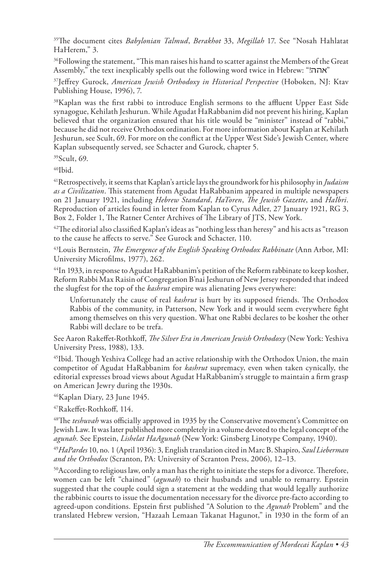35The document cites *Babylonian Talmud*, *Berakhot* 33, *Megillah* 17. See "Nosah Hahlatat HaHerem," 3.

 $\rm{^{36}Following}$  the statement, "This man raises his hand to scatter against the Members of the Great Assembly," the text inexplicably spells out the following word twice in Hebrew: "אהה"

37Jeffrey Gurock, *American Jewish Orthodoxy in Historical Perspective* (Hoboken, NJ: Ktav Publishing House, 1996), 7.

38Kaplan was the first rabbi to introduce English sermons to the affluent Upper East Side synagogue, Kehilath Jeshurun. While Agudat HaRabbanim did not prevent his hiring, Kaplan believed that the organization ensured that his title would be "minister" instead of "rabbi," because he did not receive Orthodox ordination. For more information about Kaplan at Kehilath Jeshurun, see Scult, 69. For more on the conflict at the Upper West Side's Jewish Center, where Kaplan subsequently served, see Schacter and Gurock, chapter 5.

39Scult, 69.

 $40$ Ibid.

41Retrospectively, it seems that Kaplan's article lays the groundwork for his philosophy in *Judaism as a Civilization*. This statement from Agudat HaRabbanim appeared in multiple newspapers on 21 January 1921, including *Hebrew Standard*, *HaToren*, *The Jewish Gazette*, and *HaIbri*. Reproduction of articles found in letter from Kaplan to Cyrus Adler, 27 January 1921, RG 3, Box 2, Folder 1, The Ratner Center Archives of The Library of JTS, New York.

 $^{42}$ The editorial also classified Kaplan's ideas as "nothing less than heresy" and his acts as "treason to the cause he affects to serve." See Gurock and Schacter, 110.

43Louis Bernstein, *The Emergence of the English Speaking Orthodox Rabbinate* (Ann Arbor, MI: University Microfilms, 1977), 262.

44In 1933, in response to Agudat HaRabbanim's petition of the Reform rabbinate to keep kosher, Reform Rabbi Max Raisin of Congregation B'nai Jeshurun of New Jersey responded that indeed the slugfest for the top of the *kashrut* empire was alienating Jews everywhere:

Unfortunately the cause of real *kashrut* is hurt by its supposed friends. The Orthodox Rabbis of the community, in Patterson, New York and it would seem everywhere fight among themselves on this very question. What one Rabbi declares to be kosher the other Rabbi will declare to be trefa.

See Aaron Rakeffet-Rothkoff, *The Silver Era in American Jewish Orthodoxy* (New York: Yeshiva University Press, 1988), 133.

45Ibid. Though Yeshiva College had an active relationship with the Orthodox Union, the main competitor of Agudat HaRabbanim for *kashrut* supremacy, even when taken cynically, the editorial expresses broad views about Agudat HaRabbanim's struggle to maintain a firm grasp on American Jewry during the 1930s.

46Kaplan Diary, 23 June 1945.

47Rakeffet-Rothkoff, 114.

48The *teshuvah* was officially approved in 1935 by the Conservative movement's Committee on Jewish Law. It was later published more completely in a volume devoted to the legal concept of the *agunah*. See Epstein, *Lishelat HaAgunah* (New York: Ginsberg Linotype Company, 1940).

<sup>49</sup>*HaPardes* 10, no. 1 (April 1936): 3, English translation cited in Marc B. Shapiro, *Saul Lieberman and the Orthodox* (Scranton, PA: University of Scranton Press, 2006), 12–13.

50According to religious law, only a man has the right to initiate the steps for a divorce. Therefore, women can be left "chained" (*agunah*) to their husbands and unable to remarry. Epstein suggested that the couple could sign a statement at the wedding that would legally authorize the rabbinic courts to issue the documentation necessary for the divorce pre-facto according to agreed-upon conditions. Epstein first published "A Solution to the *Agunah* Problem" and the translated Hebrew version, "Hazaah Lemaan Takanat Hagunot," in 1930 in the form of an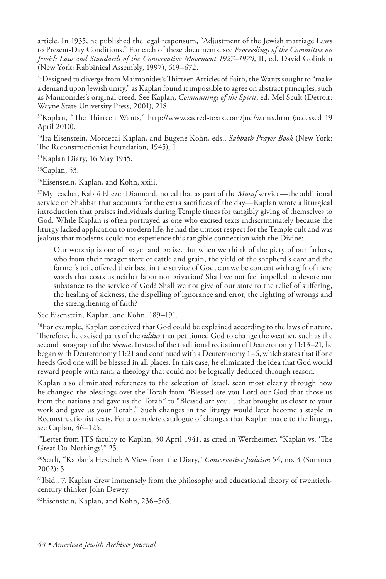article. In 1935, he published the legal responsum, "Adjustment of the Jewish marriage Laws to Present-Day Conditions." For each of these documents, see *Proceedings of the Committee on Jewish Law and Standards of the Conservative Movement 1927–1970*, II, ed. David Golinkin (New York: Rabbinical Assembly, 1997), 619–672.

51Designed to diverge from Maimonides's Thirteen Articles of Faith, the Wants sought to "make a demand upon Jewish unity," as Kaplan found it impossible to agree on abstract principles, such as Maimonides's original creed. See Kaplan, *Communings of the Spirit*, ed. Mel Scult (Detroit: Wayne State University Press, 2001), 218.

52Kaplan, "The Thirteen Wants," http://www.sacred-texts.com/jud/wants.htm (accessed 19 April 2010).

53Ira Eisenstein, Mordecai Kaplan, and Eugene Kohn, eds., *Sabbath Prayer Book* (New York: The Reconstructionist Foundation, 1945), 1.

54Kaplan Diary, 16 May 1945.

55Caplan, 53.

56Eisenstein, Kaplan, and Kohn, xxiii.

57My teacher, Rabbi Eliezer Diamond, noted that as part of the *Musaf* service—the additional service on Shabbat that accounts for the extra sacrifices of the day—Kaplan wrote a liturgical introduction that praises individuals during Temple times for tangibly giving of themselves to God. While Kaplan is often portrayed as one who excised texts indiscriminately because the liturgy lacked application to modern life, he had the utmost respect for the Temple cult and was jealous that moderns could not experience this tangible connection with the Divine:

Our worship is one of prayer and praise. But when we think of the piety of our fathers, who from their meager store of cattle and grain, the yield of the shepherd's care and the farmer's toil, offered their best in the service of God, can we be content with a gift of mere words that costs us neither labor nor privation? Shall we not feel impelled to devote our substance to the service of God? Shall we not give of our store to the relief of suffering, the healing of sickness, the dispelling of ignorance and error, the righting of wrongs and the strengthening of faith?

See Eisenstein, Kaplan, and Kohn, 189–191.

58For example, Kaplan conceived that God could be explained according to the laws of nature. Therefore, he excised parts of the *siddur* that petitioned God to change the weather, such as the second paragraph of the *Shema*. Instead of the traditional recitation of Deuteronomy 11:13–21, he began with Deuteronomy 11:21 and continued with a Deuteronomy 1–6, which states that if one heeds God one will be blessed in all places. In this case, he eliminated the idea that God would reward people with rain, a theology that could not be logically deduced through reason.

Kaplan also eliminated references to the selection of Israel, seen most clearly through how he changed the blessings over the Torah from "Blessed are you Lord our God that chose us from the nations and gave us the Torah" to "Blessed are you… that brought us closer to your work and gave us your Torah." Such changes in the liturgy would later become a staple in Reconstructionist texts. For a complete catalogue of changes that Kaplan made to the liturgy, see Caplan, 46–125.

59Letter from JTS faculty to Kaplan, 30 April 1941, as cited in Wertheimer, "Kaplan vs. 'The Great Do-Nothings'," 25.

60Scult, "Kaplan's Heschel: A View from the Diary," *Conservative Judaism* 54, no. 4 (Summer 2002): 5.

61Ibid., 7. Kaplan drew immensely from the philosophy and educational theory of twentiethcentury thinker John Dewey.

62Eisenstein, Kaplan, and Kohn, 236–565.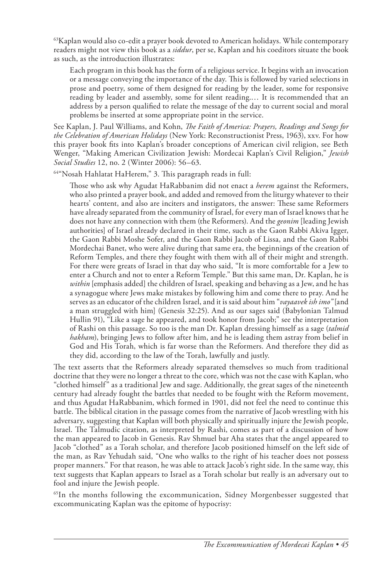$63$ Kaplan would also co-edit a prayer book devoted to American holidays. While contemporary readers might not view this book as a *siddur*, per se, Kaplan and his coeditors situate the book as such, as the introduction illustrates:

Each program in this book has the form of a religious service. It begins with an invocation or a message conveying the importance of the day. This is followed by varied selections in prose and poetry, some of them designed for reading by the leader, some for responsive reading by leader and assembly, some for silent reading.… It is recommended that an address by a person qualified to relate the message of the day to current social and moral problems be inserted at some appropriate point in the service.

See Kaplan, J. Paul Williams, and Kohn, *The Faith of America: Prayers, Readings and Songs for the Celebration of American Holidays* (New York: Reconstructionist Press, 1963), xxv. For how this prayer book fits into Kaplan's broader conceptions of American civil religion, see Beth Wenger, "Making American Civilization Jewish: Mordecai Kaplan's Civil Religion," *Jewish Social Studies* 12, no. 2 (Winter 2006): 56–63.

64"Nosah Hahlatat HaHerem," 3. This paragraph reads in full:

Those who ask why Agudat HaRabbanim did not enact a *herem* against the Reformers, who also printed a prayer book, and added and removed from the liturgy whatever to their hearts' content, and also are inciters and instigators, the answer: These same Reformers have already separated from the community of Israel, for every man of Israel knows that he does not have any connection with them (the Reformers). And the *geonim* [leading Jewish authorities] of Israel already declared in their time, such as the Gaon Rabbi Akiva Igger, the Gaon Rabbi Moshe Sofer, and the Gaon Rabbi Jacob of Lissa, and the Gaon Rabbi Mordechai Banet, who were alive during that same era, the beginnings of the creation of Reform Temples, and there they fought with them with all of their might and strength. For there were greats of Israel in that day who said, "It is more comfortable for a Jew to enter a Church and not to enter a Reform Temple." But this same man, Dr. Kaplan, he is *within* [emphasis added] the children of Israel, speaking and behaving as a Jew, and he has a synagogue where Jews make mistakes by following him and come there to pray. And he serves as an educator of the children Israel, and it is said about him "*vayaavek ish imo"* [and a man struggled with him] (Genesis 32:25). And as our sages said (Babylonian Talmud Hullin 91), "Like a sage he appeared, and took honor from Jacob;" see the interpretation of Rashi on this passage. So too is the man Dr. Kaplan dressing himself as a sage (*talmid hakham*), bringing Jews to follow after him, and he is leading them astray from belief in God and His Torah, which is far worse than the Reformers. And therefore they did as they did, according to the law of the Torah, lawfully and justly.

The text asserts that the Reformers already separated themselves so much from traditional doctrine that they were no longer a threat to the core, which was not the case with Kaplan, who "clothed himself" as a traditional Jew and sage. Additionally, the great sages of the nineteenth century had already fought the battles that needed to be fought with the Reform movement, and thus Agudat HaRabbanim, which formed in 1901, did not feel the need to continue this battle. The biblical citation in the passage comes from the narrative of Jacob wrestling with his adversary, suggesting that Kaplan will both physically and spiritually injure the Jewish people, Israel. The Talmudic citation, as interpreted by Rashi, comes as part of a discussion of how the man appeared to Jacob in Genesis. Rav Shmuel bar Aha states that the angel appeared to Jacob "clothed" as a Torah scholar, and therefore Jacob positioned himself on the left side of the man, as Rav Yehudah said, "One who walks to the right of his teacher does not possess proper manners." For that reason, he was able to attack Jacob's right side. In the same way, this text suggests that Kaplan appears to Israel as a Torah scholar but really is an adversary out to fool and injure the Jewish people.

<sup>65</sup>In the months following the excommunication, Sidney Morgenbesser suggested that excommunicating Kaplan was the epitome of hypocrisy: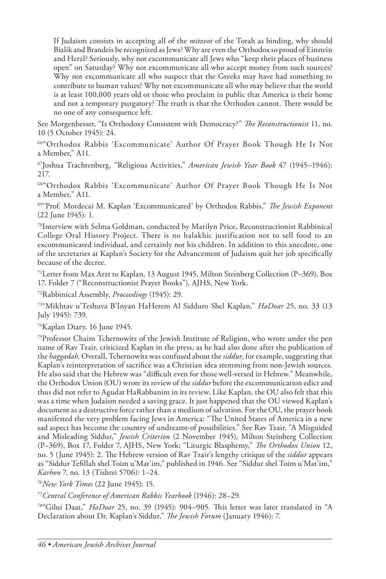If Judaism consists in accepting all of the *mitzvot* of the Torah as binding, why should Bialik and Brandeis be recognized as Jews? Why are even the Orthodox so proud of Einstein and Herzl? Seriously, why not excommunicate all Jews who "keep their places of business open" on Saturday? Why not excommunicate all who accept money from such sources? Why not excommunicate all who suspect that the Greeks may have had something to contribute to human values? Why not excommunicate all who may believe that the world is at least 100,000 years old or those who proclaim in public that America is their home and not a temporary purgatory? The truth is that the Orthodox cannot. There would be no one of any consequence left.

See Morgenbesser, "Is Orthodoxy Consistent with Democracy?" *The Reconstructionist* 11, no. 10 (5 October 1945): 24.

66"Orthodox Rabbis 'Excommunicate' Author Of Prayer Book Though He Is Not a Member," A11.

67Joshua Trachtenberg, "Religious Activities," *American Jewish Year Book* 47 (1945–1946): 217.

68"Orthodox Rabbis 'Excommunicate' Author Of Prayer Book Though He Is Not a Member," A11.

69"Prof. Mordecai M. Kaplan 'Excommunicated' by Orthodox Rabbis," *The Jewish Exponent* (22 June 1945): 1.

70Interview with Selma Goldman, conducted by Marilyn Price, Reconstructionist Rabbinical College Oral History Project. There is no halakhic justification not to sell food to an excommunicated individual, and certainly not his children. In addition to this anecdote, one of the secretaries at Kaplan's Society for the Advancement of Judaism quit her job specifically because of the decree.

71Letter from Max Arzt to Kaplan, 13 August 1945, Milton Steinberg Collection (P–369), Box 17, Folder 7 ("Reconstructionist Prayer Books"), AJHS, New York.

72Rabbinical Assembly, *Proceedings* (1945): 29.

73"Mikhtav u'Teshuva B'Inyan HaHerem Al Sidduro Shel Kaplan," *HaDoar* 25, no. 33 (13 July 1945): 739.

74Kaplan Diary, 16 June 1945.

<sup>75</sup>Professor Chaim Tchernowitz of the Jewish Institute of Religion, who wrote under the pen name of Rav Tzair, criticized Kaplan in the press, as he had also done after the publication of the *haggadah*. Overall, Tchernowitz was confused about the *siddur*, for example, suggesting that Kaplan's reinterpretation of sacrifice was a Christian idea stemming from non-Jewish sources. He also said that the Hebrew was "difficult even for those well-versed in Hebrew." Meanwhile, the Orthodox Union (OU) wrote its review of the *siddur* before the excommunication edict and thus did not refer to Agudat HaRabbanim in its review. Like Kaplan, the OU also felt that this was a time when Judaism needed a saving grace. It just happened that the OU viewed Kaplan's document as a destructive force rather than a medium of salvation. For the OU, the prayer book manifested the very problem facing Jews in America: "The United States of America in a new sad aspect has become the country of undreamt-of possibilities." See Rav Tzair, "A Misguided and Misleading Siddur," *Jewish Criterion* (2 November 1945), Milton Steinberg Collection (P–369), Box 17, Folder 7, AJHS, New York; "Liturgic Blasphemy," *The Orthodox Union* 12, no. 5 (June 1945): 2. The Hebrew version of Rav Tzair's lengthy critique of the *siddur* appears as "Siddur Tefillah shel Toim u'Mat'im," published in 1946. See "Siddur shel Toim u'Mat'im," *Karhon* 7, no. 13 (Tishrei 5706): 1–24.

<sup>76</sup>*New York Times* (22 June 1945): 15.

<sup>77</sup>*Central Conference of American Rabbis Yearbook* (1946): 28–29.

78"Gilui Daat," *HaDoar* 25, no. 39 (1945): 904–905. This letter was later translated in "A Declaration about Dr. Kaplan's Siddur," *The Jewish Forum* (January 1946): 7.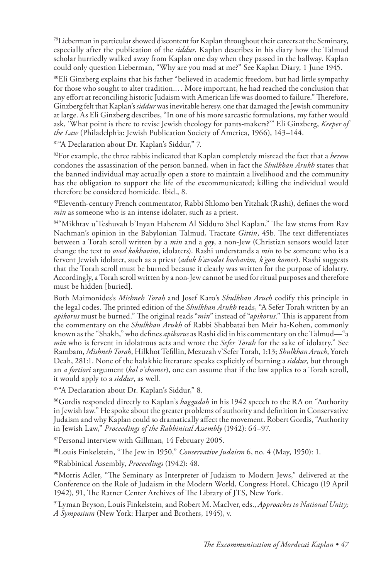$79$ Lieberman in particular showed discontent for Kaplan throughout their careers at the Seminary, especially after the publication of the *siddur*. Kaplan describes in his diary how the Talmud scholar hurriedly walked away from Kaplan one day when they passed in the hallway. Kaplan could only question Lieberman, "Why are you mad at me?" See Kaplan Diary, 1 June 1945.

<sup>80</sup>Eli Ginzberg explains that his father "believed in academic freedom, but had little sympathy for those who sought to alter tradition.… More important, he had reached the conclusion that any effort at reconciling historic Judaism with American life was doomed to failure." Therefore, Ginzberg felt that Kaplan's *siddur* was inevitable heresy, one that damaged the Jewish community at large. As Eli Ginzberg describes, "In one of his more sarcastic formulations, my father would ask, 'What point is there to revise Jewish theology for pants-makers?'" Eli Ginzberg, *Keeper of the Law* (Philadelphia: Jewish Publication Society of America, 1966), 143–144.

81"A Declaration about Dr. Kaplan's Siddur," 7.

82For example, the three rabbis indicated that Kaplan completely misread the fact that a *herem* condones the assassination of the person banned, when in fact the *Shulkhan Arukh* states that the banned individual may actually open a store to maintain a livelihood and the community has the obligation to support the life of the excommunicated; killing the individual would therefore be considered homicide. Ibid., 8.

83Eleventh-century French commentator, Rabbi Shlomo ben Yitzhak (Rashi), defines the word *min* as someone who is an intense idolater, such as a priest.

84"Mikhtav u'Teshuvah b'Inyan Haherem Al Sidduro Shel Kaplan." The law stems from Rav Nachman's opinion in the Babylonian Talmud, Tractate *Gittin*, 45b. The text differentiates between a Torah scroll written by a *min* and a *goy*, a non-Jew (Christian sensors would later change the text to *oved kokhavim*, idolaters). Rashi understands a *min* to be someone who is a fervent Jewish idolater, such as a priest (*aduk b'avodat kochavim, k'gon komer*). Rashi suggests that the Torah scroll must be burned because it clearly was written for the purpose of idolatry. Accordingly, a Torah scroll written by a non-Jew cannot be used for ritual purposes and therefore must be hidden [buried].

Both Maimonides's *Mishneh Torah* and Josef Karo's *Shulkhan Aruch* codify this principle in the legal codes. The printed edition of the *Shulkhan Arukh* reads, "A Sefer Torah written by an *apikorus* must be burned." The original reads "*min*" instead of "*apikorus*." This is apparent from the commentary on the *Shulkhan Arukh* of Rabbi Shabbatai ben Meir ha-Kohen, commonly known as the "Shakh," who defines *apikorus* as Rashi did in his commentary on the Talmud—"a *min* who is fervent in idolatrous acts and wrote the *Sefer Torah* for the sake of idolatry." See Rambam, *Mishneh Torah*, Hilkhot Tefillin, Mezuzah v'Sefer Torah, 1:13; *Shulkhan Aruch*, Yoreh Deah, 281:1. None of the halakhic literature speaks explicitly of burning a *siddur,* but through an *a fortiori* argument (*kal v'chomer*), one can assume that if the law applies to a Torah scroll, it would apply to a *siddur*, as well*.*

85"A Declaration about Dr. Kaplan's Siddur," 8.

<sup>86</sup>Gordis responded directly to Kaplan's *haggadah* in his 1942 speech to the RA on "Authority" in Jewish law." He spoke about the greater problems of authority and definition in Conservative Judaism and why Kaplan could so dramatically affect the movement. Robert Gordis, "Authority in Jewish Law," *Proceedings of the Rabbinical Assembly* (1942): 64–97.

87Personal interview with Gillman, 14 February 2005.

88Louis Finkelstein, "The Jew in 1950," *Conservative Judaism* 6, no. 4 (May, 1950): 1.

89Rabbinical Assembly, *Proceedings* (1942): 48.

90Morris Adler, "The Seminary as Interpreter of Judaism to Modern Jews," delivered at the Conference on the Role of Judaism in the Modern World, Congress Hotel, Chicago (19 April 1942), 91, The Ratner Center Archives of The Library of JTS, New York.

91Lyman Bryson, Louis Finkelstein, and Robert M. MacIver, eds., *Approaches to National Unity; A Symposium* (New York: Harper and Brothers, 1945), v.